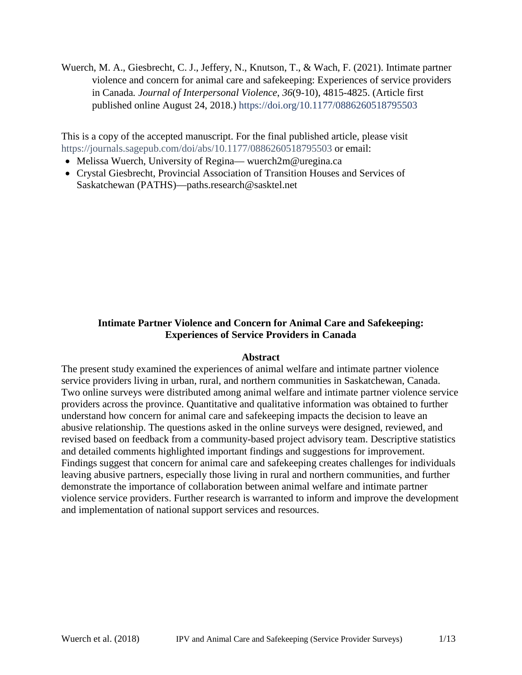Wuerch, M. A., Giesbrecht, C. J., Jeffery, N., Knutson, T., & Wach, F. (2021). Intimate partner violence and concern for animal care and safekeeping: Experiences of service providers in Canada*. Journal of Interpersonal Violence*, *36*(9-10), 4815-4825. (Article first published online August 24, 2018.) <https://doi.org/10.1177/0886260518795503>

This is a copy of the accepted manuscript. For the final published article, please visit <https://journals.sagepub.com/doi/abs/10.1177/0886260518795503> or email:

- Melissa Wuerch, University of Regina— wuerch2m@uregina.ca
- Crystal Giesbrecht, Provincial Association of Transition Houses and Services of Saskatchewan (PATHS)—paths.research@sasktel.net

# **Intimate Partner Violence and Concern for Animal Care and Safekeeping: Experiences of Service Providers in Canada**

## **Abstract**

The present study examined the experiences of animal welfare and intimate partner violence service providers living in urban, rural, and northern communities in Saskatchewan, Canada. Two online surveys were distributed among animal welfare and intimate partner violence service providers across the province. Quantitative and qualitative information was obtained to further understand how concern for animal care and safekeeping impacts the decision to leave an abusive relationship. The questions asked in the online surveys were designed, reviewed, and revised based on feedback from a community-based project advisory team. Descriptive statistics and detailed comments highlighted important findings and suggestions for improvement. Findings suggest that concern for animal care and safekeeping creates challenges for individuals leaving abusive partners, especially those living in rural and northern communities, and further demonstrate the importance of collaboration between animal welfare and intimate partner violence service providers. Further research is warranted to inform and improve the development and implementation of national support services and resources.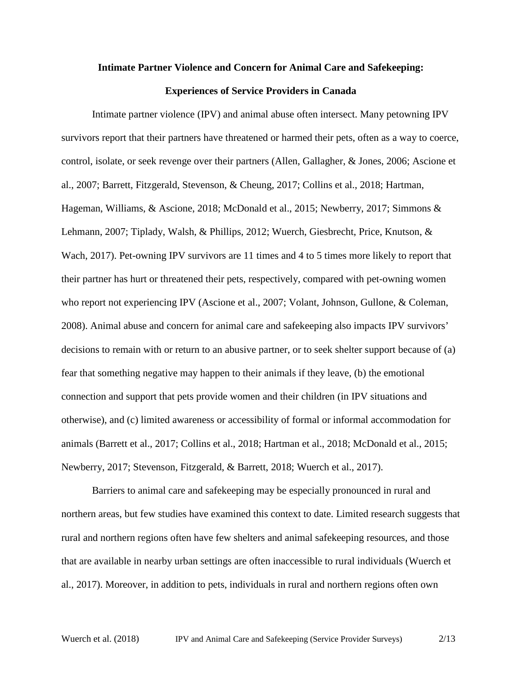#### **Intimate Partner Violence and Concern for Animal Care and Safekeeping:**

#### **Experiences of Service Providers in Canada**

Intimate partner violence (IPV) and animal abuse often intersect. Many petowning IPV survivors report that their partners have threatened or harmed their pets, often as a way to coerce, control, isolate, or seek revenge over their partners (Allen, Gallagher, & Jones, 2006; Ascione et al., 2007; Barrett, Fitzgerald, Stevenson, & Cheung, 2017; Collins et al., 2018; Hartman, Hageman, Williams, & Ascione, 2018; McDonald et al., 2015; Newberry, 2017; Simmons & Lehmann, 2007; Tiplady, Walsh, & Phillips, 2012; Wuerch, Giesbrecht, Price, Knutson, & Wach, 2017). Pet-owning IPV survivors are 11 times and 4 to 5 times more likely to report that their partner has hurt or threatened their pets, respectively, compared with pet-owning women who report not experiencing IPV (Ascione et al., 2007; Volant, Johnson, Gullone, & Coleman, 2008). Animal abuse and concern for animal care and safekeeping also impacts IPV survivors' decisions to remain with or return to an abusive partner, or to seek shelter support because of (a) fear that something negative may happen to their animals if they leave, (b) the emotional connection and support that pets provide women and their children (in IPV situations and otherwise), and (c) limited awareness or accessibility of formal or informal accommodation for animals (Barrett et al., 2017; Collins et al., 2018; Hartman et al., 2018; McDonald et al., 2015; Newberry, 2017; Stevenson, Fitzgerald, & Barrett, 2018; Wuerch et al., 2017).

Barriers to animal care and safekeeping may be especially pronounced in rural and northern areas, but few studies have examined this context to date. Limited research suggests that rural and northern regions often have few shelters and animal safekeeping resources, and those that are available in nearby urban settings are often inaccessible to rural individuals (Wuerch et al., 2017). Moreover, in addition to pets, individuals in rural and northern regions often own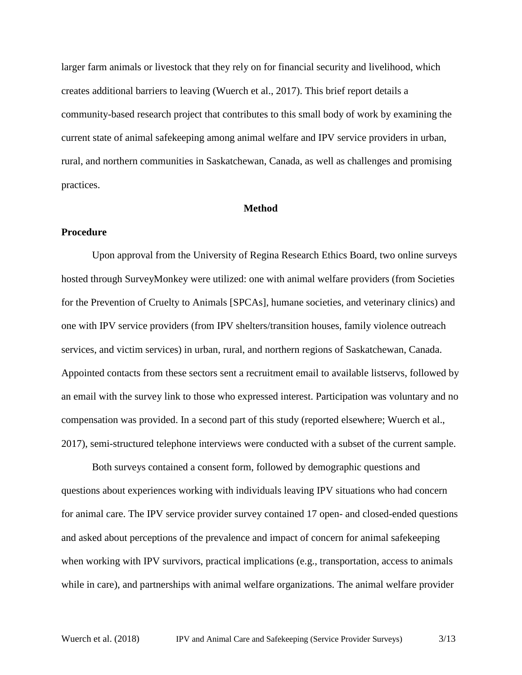larger farm animals or livestock that they rely on for financial security and livelihood, which creates additional barriers to leaving (Wuerch et al., 2017). This brief report details a community-based research project that contributes to this small body of work by examining the current state of animal safekeeping among animal welfare and IPV service providers in urban, rural, and northern communities in Saskatchewan, Canada, as well as challenges and promising practices.

### **Method**

## **Procedure**

Upon approval from the University of Regina Research Ethics Board, two online surveys hosted through SurveyMonkey were utilized: one with animal welfare providers (from Societies for the Prevention of Cruelty to Animals [SPCAs], humane societies, and veterinary clinics) and one with IPV service providers (from IPV shelters/transition houses, family violence outreach services, and victim services) in urban, rural, and northern regions of Saskatchewan, Canada. Appointed contacts from these sectors sent a recruitment email to available listservs, followed by an email with the survey link to those who expressed interest. Participation was voluntary and no compensation was provided. In a second part of this study (reported elsewhere; Wuerch et al., 2017), semi-structured telephone interviews were conducted with a subset of the current sample.

Both surveys contained a consent form, followed by demographic questions and questions about experiences working with individuals leaving IPV situations who had concern for animal care. The IPV service provider survey contained 17 open- and closed-ended questions and asked about perceptions of the prevalence and impact of concern for animal safekeeping when working with IPV survivors, practical implications (e.g., transportation, access to animals while in care), and partnerships with animal welfare organizations. The animal welfare provider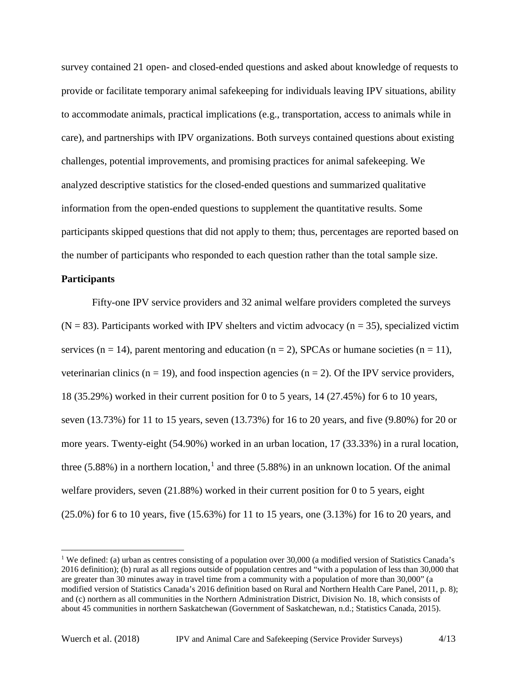survey contained 21 open- and closed-ended questions and asked about knowledge of requests to provide or facilitate temporary animal safekeeping for individuals leaving IPV situations, ability to accommodate animals, practical implications (e.g., transportation, access to animals while in care), and partnerships with IPV organizations. Both surveys contained questions about existing challenges, potential improvements, and promising practices for animal safekeeping. We analyzed descriptive statistics for the closed-ended questions and summarized qualitative information from the open-ended questions to supplement the quantitative results. Some participants skipped questions that did not apply to them; thus, percentages are reported based on the number of participants who responded to each question rather than the total sample size.

## **Participants**

Fifty-one IPV service providers and 32 animal welfare providers completed the surveys  $(N = 83)$ . Participants worked with IPV shelters and victim advocacy ( $n = 35$ ), specialized victim services ( $n = 14$ ), parent mentoring and education ( $n = 2$ ), SPCAs or humane societies ( $n = 11$ ), veterinarian clinics ( $n = 19$ ), and food inspection agencies ( $n = 2$ ). Of the IPV service providers, 18 (35.29%) worked in their current position for 0 to 5 years, 14 (27.45%) for 6 to 10 years, seven (13.73%) for 11 to 15 years, seven (13.73%) for 16 to 20 years, and five (9.80%) for 20 or more years. Twenty-eight (54.90%) worked in an urban location, 17 (33.33%) in a rural location, three  $(5.88\%)$  in a northern location,<sup>[1](#page-3-0)</sup> and three  $(5.88\%)$  in an unknown location. Of the animal welfare providers, seven (21.88%) worked in their current position for 0 to 5 years, eight (25.0%) for 6 to 10 years, five (15.63%) for 11 to 15 years, one (3.13%) for 16 to 20 years, and

 $\overline{\phantom{a}}$ 

<span id="page-3-0"></span><sup>&</sup>lt;sup>1</sup> We defined: (a) urban as centres consisting of a population over 30,000 (a modified version of Statistics Canada's 2016 definition); (b) rural as all regions outside of population centres and "with a population of less than 30,000 that are greater than 30 minutes away in travel time from a community with a population of more than 30,000" (a modified version of Statistics Canada's 2016 definition based on Rural and Northern Health Care Panel, 2011, p. 8); and (c) northern as all communities in the Northern Administration District, Division No. 18, which consists of about 45 communities in northern Saskatchewan (Government of Saskatchewan, n.d.; Statistics Canada, 2015).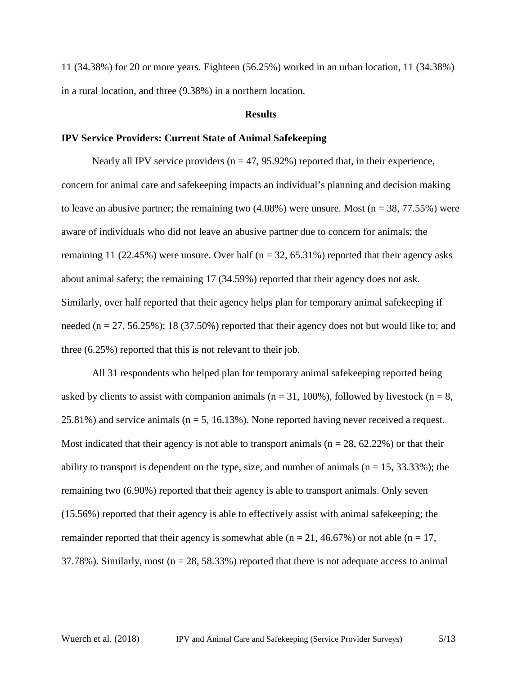11 (34.38%) for 20 or more years. Eighteen (56.25%) worked in an urban location, 11 (34.38%) in a rural location, and three (9.38%) in a northern location.

### **Results**

### **IPV Service Providers: Current State of Animal Safekeeping**

Nearly all IPV service providers  $(n = 47, 95.92\%)$  reported that, in their experience, concern for animal care and safekeeping impacts an individual's planning and decision making to leave an abusive partner; the remaining two  $(4.08\%)$  were unsure. Most (n = 38, 77.55%) were aware of individuals who did not leave an abusive partner due to concern for animals; the remaining 11 (22.45%) were unsure. Over half ( $n = 32, 65.31\%$ ) reported that their agency asks about animal safety; the remaining 17 (34.59%) reported that their agency does not ask. Similarly, over half reported that their agency helps plan for temporary animal safekeeping if needed ( $n = 27, 56.25\%$ ); 18 (37.50%) reported that their agency does not but would like to; and three (6.25%) reported that this is not relevant to their job.

All 31 respondents who helped plan for temporary animal safekeeping reported being asked by clients to assist with companion animals ( $n = 31, 100\%$ ), followed by livestock ( $n = 8$ , 25.81%) and service animals ( $n = 5$ , 16.13%). None reported having never received a request. Most indicated that their agency is not able to transport animals ( $n = 28$ , 62.22%) or that their ability to transport is dependent on the type, size, and number of animals ( $n = 15$ , 33.33%); the remaining two (6.90%) reported that their agency is able to transport animals. Only seven (15.56%) reported that their agency is able to effectively assist with animal safekeeping; the remainder reported that their agency is somewhat able ( $n = 21, 46.67\%$ ) or not able ( $n = 17$ , 37.78%). Similarly, most ( $n = 28$ , 58.33%) reported that there is not adequate access to animal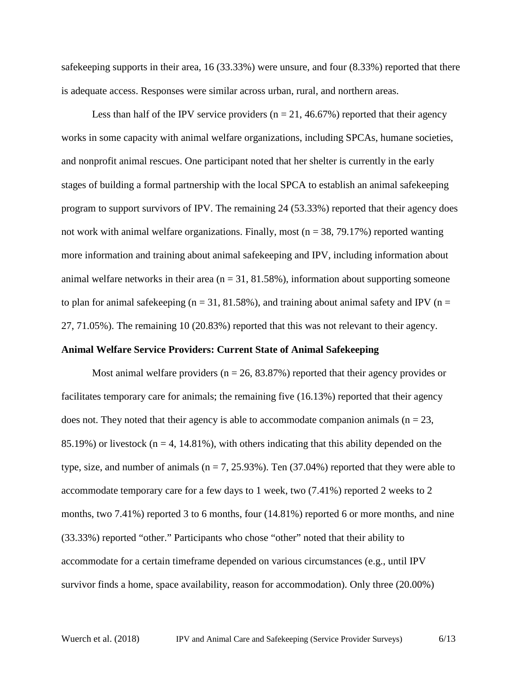safekeeping supports in their area, 16 (33.33%) were unsure, and four (8.33%) reported that there is adequate access. Responses were similar across urban, rural, and northern areas.

Less than half of the IPV service providers ( $n = 21, 46.67\%$ ) reported that their agency works in some capacity with animal welfare organizations, including SPCAs, humane societies, and nonprofit animal rescues. One participant noted that her shelter is currently in the early stages of building a formal partnership with the local SPCA to establish an animal safekeeping program to support survivors of IPV. The remaining 24 (53.33%) reported that their agency does not work with animal welfare organizations. Finally, most ( $n = 38, 79.17\%$ ) reported wanting more information and training about animal safekeeping and IPV, including information about animal welfare networks in their area ( $n = 31, 81.58\%$ ), information about supporting someone to plan for animal safekeeping ( $n = 31, 81.58\%$ ), and training about animal safety and IPV ( $n =$ 27, 71.05%). The remaining 10 (20.83%) reported that this was not relevant to their agency.

### **Animal Welfare Service Providers: Current State of Animal Safekeeping**

Most animal welfare providers ( $n = 26, 83.87\%$ ) reported that their agency provides or facilitates temporary care for animals; the remaining five (16.13%) reported that their agency does not. They noted that their agency is able to accommodate companion animals ( $n = 23$ , 85.19%) or livestock ( $n = 4$ , 14.81%), with others indicating that this ability depended on the type, size, and number of animals ( $n = 7, 25.93\%$ ). Ten (37.04%) reported that they were able to accommodate temporary care for a few days to 1 week, two (7.41%) reported 2 weeks to 2 months, two 7.41%) reported 3 to 6 months, four (14.81%) reported 6 or more months, and nine (33.33%) reported "other." Participants who chose "other" noted that their ability to accommodate for a certain timeframe depended on various circumstances (e.g., until IPV survivor finds a home, space availability, reason for accommodation). Only three (20.00%)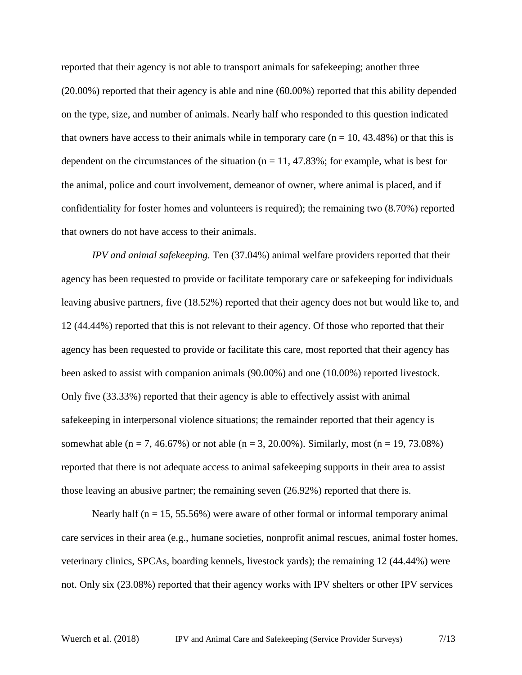reported that their agency is not able to transport animals for safekeeping; another three (20.00%) reported that their agency is able and nine (60.00%) reported that this ability depended on the type, size, and number of animals. Nearly half who responded to this question indicated that owners have access to their animals while in temporary care  $(n = 10, 43.48%)$  or that this is dependent on the circumstances of the situation ( $n = 11, 47.83\%$ ; for example, what is best for the animal, police and court involvement, demeanor of owner, where animal is placed, and if confidentiality for foster homes and volunteers is required); the remaining two (8.70%) reported that owners do not have access to their animals.

*IPV and animal safekeeping.* Ten (37.04%) animal welfare providers reported that their agency has been requested to provide or facilitate temporary care or safekeeping for individuals leaving abusive partners, five (18.52%) reported that their agency does not but would like to, and 12 (44.44%) reported that this is not relevant to their agency. Of those who reported that their agency has been requested to provide or facilitate this care, most reported that their agency has been asked to assist with companion animals (90.00%) and one (10.00%) reported livestock. Only five (33.33%) reported that their agency is able to effectively assist with animal safekeeping in interpersonal violence situations; the remainder reported that their agency is somewhat able (n = 7, 46.67%) or not able (n = 3, 20.00%). Similarly, most (n = 19, 73.08%) reported that there is not adequate access to animal safekeeping supports in their area to assist those leaving an abusive partner; the remaining seven (26.92%) reported that there is.

Nearly half ( $n = 15, 55.56\%$ ) were aware of other formal or informal temporary animal care services in their area (e.g., humane societies, nonprofit animal rescues, animal foster homes, veterinary clinics, SPCAs, boarding kennels, livestock yards); the remaining 12 (44.44%) were not. Only six (23.08%) reported that their agency works with IPV shelters or other IPV services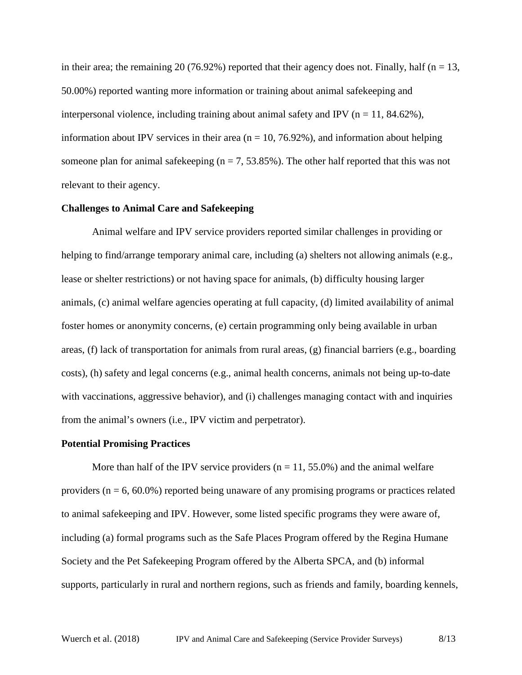in their area; the remaining 20 (76.92%) reported that their agency does not. Finally, half ( $n = 13$ , 50.00%) reported wanting more information or training about animal safekeeping and interpersonal violence, including training about animal safety and IPV ( $n = 11, 84.62\%$ ), information about IPV services in their area ( $n = 10, 76.92\%$ ), and information about helping someone plan for animal safekeeping ( $n = 7, 53.85\%$ ). The other half reported that this was not relevant to their agency.

### **Challenges to Animal Care and Safekeeping**

Animal welfare and IPV service providers reported similar challenges in providing or helping to find/arrange temporary animal care, including (a) shelters not allowing animals (e.g., lease or shelter restrictions) or not having space for animals, (b) difficulty housing larger animals, (c) animal welfare agencies operating at full capacity, (d) limited availability of animal foster homes or anonymity concerns, (e) certain programming only being available in urban areas, (f) lack of transportation for animals from rural areas, (g) financial barriers (e.g., boarding costs), (h) safety and legal concerns (e.g., animal health concerns, animals not being up-to-date with vaccinations, aggressive behavior), and (i) challenges managing contact with and inquiries from the animal's owners (i.e., IPV victim and perpetrator).

#### **Potential Promising Practices**

More than half of the IPV service providers ( $n = 11, 55.0\%$ ) and the animal welfare providers ( $n = 6, 60.0\%$ ) reported being unaware of any promising programs or practices related to animal safekeeping and IPV. However, some listed specific programs they were aware of, including (a) formal programs such as the Safe Places Program offered by the Regina Humane Society and the Pet Safekeeping Program offered by the Alberta SPCA, and (b) informal supports, particularly in rural and northern regions, such as friends and family, boarding kennels,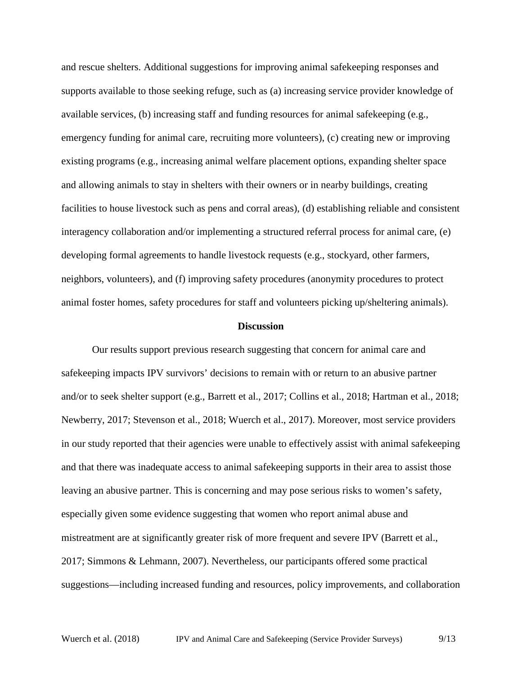and rescue shelters. Additional suggestions for improving animal safekeeping responses and supports available to those seeking refuge, such as (a) increasing service provider knowledge of available services, (b) increasing staff and funding resources for animal safekeeping (e.g., emergency funding for animal care, recruiting more volunteers), (c) creating new or improving existing programs (e.g., increasing animal welfare placement options, expanding shelter space and allowing animals to stay in shelters with their owners or in nearby buildings, creating facilities to house livestock such as pens and corral areas), (d) establishing reliable and consistent interagency collaboration and/or implementing a structured referral process for animal care, (e) developing formal agreements to handle livestock requests (e.g., stockyard, other farmers, neighbors, volunteers), and (f) improving safety procedures (anonymity procedures to protect animal foster homes, safety procedures for staff and volunteers picking up/sheltering animals).

#### **Discussion**

Our results support previous research suggesting that concern for animal care and safekeeping impacts IPV survivors' decisions to remain with or return to an abusive partner and/or to seek shelter support (e.g., Barrett et al., 2017; Collins et al., 2018; Hartman et al., 2018; Newberry, 2017; Stevenson et al., 2018; Wuerch et al., 2017). Moreover, most service providers in our study reported that their agencies were unable to effectively assist with animal safekeeping and that there was inadequate access to animal safekeeping supports in their area to assist those leaving an abusive partner. This is concerning and may pose serious risks to women's safety, especially given some evidence suggesting that women who report animal abuse and mistreatment are at significantly greater risk of more frequent and severe IPV (Barrett et al., 2017; Simmons & Lehmann, 2007). Nevertheless, our participants offered some practical suggestions—including increased funding and resources, policy improvements, and collaboration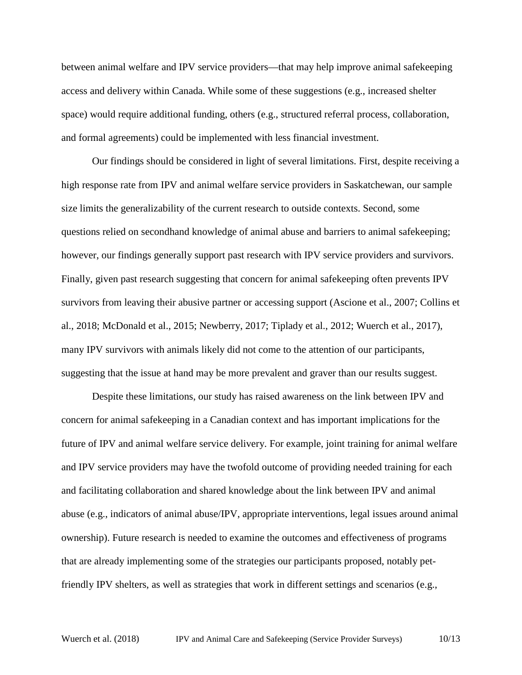between animal welfare and IPV service providers—that may help improve animal safekeeping access and delivery within Canada. While some of these suggestions (e.g., increased shelter space) would require additional funding, others (e.g., structured referral process, collaboration, and formal agreements) could be implemented with less financial investment.

Our findings should be considered in light of several limitations. First, despite receiving a high response rate from IPV and animal welfare service providers in Saskatchewan, our sample size limits the generalizability of the current research to outside contexts. Second, some questions relied on secondhand knowledge of animal abuse and barriers to animal safekeeping; however, our findings generally support past research with IPV service providers and survivors. Finally, given past research suggesting that concern for animal safekeeping often prevents IPV survivors from leaving their abusive partner or accessing support (Ascione et al., 2007; Collins et al., 2018; McDonald et al., 2015; Newberry, 2017; Tiplady et al., 2012; Wuerch et al., 2017), many IPV survivors with animals likely did not come to the attention of our participants, suggesting that the issue at hand may be more prevalent and graver than our results suggest.

Despite these limitations, our study has raised awareness on the link between IPV and concern for animal safekeeping in a Canadian context and has important implications for the future of IPV and animal welfare service delivery. For example, joint training for animal welfare and IPV service providers may have the twofold outcome of providing needed training for each and facilitating collaboration and shared knowledge about the link between IPV and animal abuse (e.g., indicators of animal abuse/IPV, appropriate interventions, legal issues around animal ownership). Future research is needed to examine the outcomes and effectiveness of programs that are already implementing some of the strategies our participants proposed, notably petfriendly IPV shelters, as well as strategies that work in different settings and scenarios (e.g.,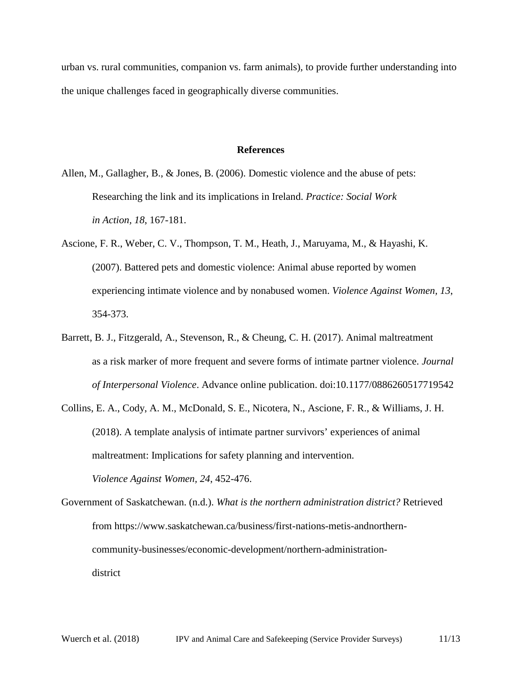urban vs. rural communities, companion vs. farm animals), to provide further understanding into the unique challenges faced in geographically diverse communities.

## **References**

- Allen, M., Gallagher, B., & Jones, B. (2006). Domestic violence and the abuse of pets: Researching the link and its implications in Ireland. *Practice: Social Work in Action, 18*, 167-181.
- Ascione, F. R., Weber, C. V., Thompson, T. M., Heath, J., Maruyama, M., & Hayashi, K. (2007). Battered pets and domestic violence: Animal abuse reported by women experiencing intimate violence and by nonabused women. *Violence Against Women, 13*, 354-373.
- Barrett, B. J., Fitzgerald, A., Stevenson, R., & Cheung, C. H. (2017). Animal maltreatment as a risk marker of more frequent and severe forms of intimate partner violence. *Journal of Interpersonal Violence*. Advance online publication. doi:10.1177/0886260517719542
- Collins, E. A., Cody, A. M., McDonald, S. E., Nicotera, N., Ascione, F. R., & Williams, J. H. (2018). A template analysis of intimate partner survivors' experiences of animal maltreatment: Implications for safety planning and intervention. *Violence Against Women, 24*, 452-476.
- Government of Saskatchewan. (n.d.). *What is the northern administration district?* Retrieved from https://www.saskatchewan.ca/business/first-nations-metis-andnortherncommunity-businesses/economic-development/northern-administrationdistrict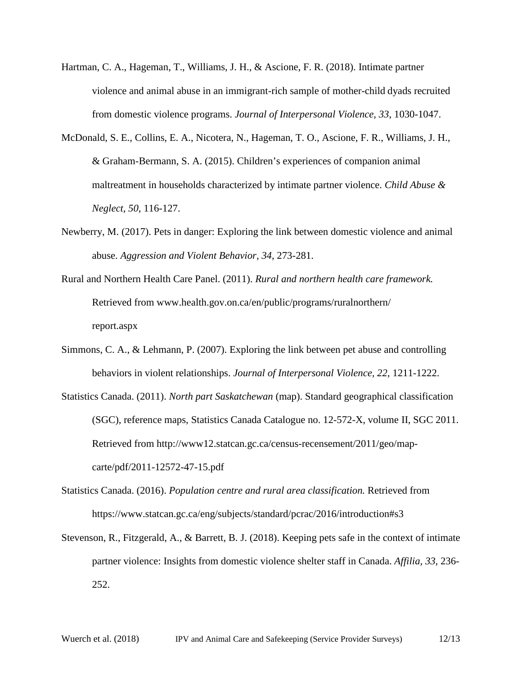- Hartman, C. A., Hageman, T., Williams, J. H., & Ascione, F. R. (2018). Intimate partner violence and animal abuse in an immigrant-rich sample of mother-child dyads recruited from domestic violence programs. *Journal of Interpersonal Violence, 33*, 1030-1047.
- McDonald, S. E., Collins, E. A., Nicotera, N., Hageman, T. O., Ascione, F. R., Williams, J. H., & Graham-Bermann, S. A. (2015). Children's experiences of companion animal maltreatment in households characterized by intimate partner violence. *Child Abuse & Neglect, 50*, 116-127.
- Newberry, M. (2017). Pets in danger: Exploring the link between domestic violence and animal abuse. *Aggression and Violent Behavior, 34*, 273-281.
- Rural and Northern Health Care Panel. (2011). *Rural and northern health care framework.* Retrieved from www.health.gov.on.ca/en/public/programs/ruralnorthern/ report.aspx
- Simmons, C. A., & Lehmann, P. (2007). Exploring the link between pet abuse and controlling behaviors in violent relationships. *Journal of Interpersonal Violence, 22*, 1211-1222.
- Statistics Canada. (2011). *North part Saskatchewan* (map). Standard geographical classification (SGC), reference maps, Statistics Canada Catalogue no. 12-572-X, volume II, SGC 2011. Retrieved from http://www12.statcan.gc.ca/census-recensement/2011/geo/mapcarte/pdf/2011-12572-47-15.pdf
- Statistics Canada. (2016). *Population centre and rural area classification.* Retrieved from https://www.statcan.gc.ca/eng/subjects/standard/pcrac/2016/introduction#s3
- Stevenson, R., Fitzgerald, A., & Barrett, B. J. (2018). Keeping pets safe in the context of intimate partner violence: Insights from domestic violence shelter staff in Canada. *Affilia, 33*, 236- 252.